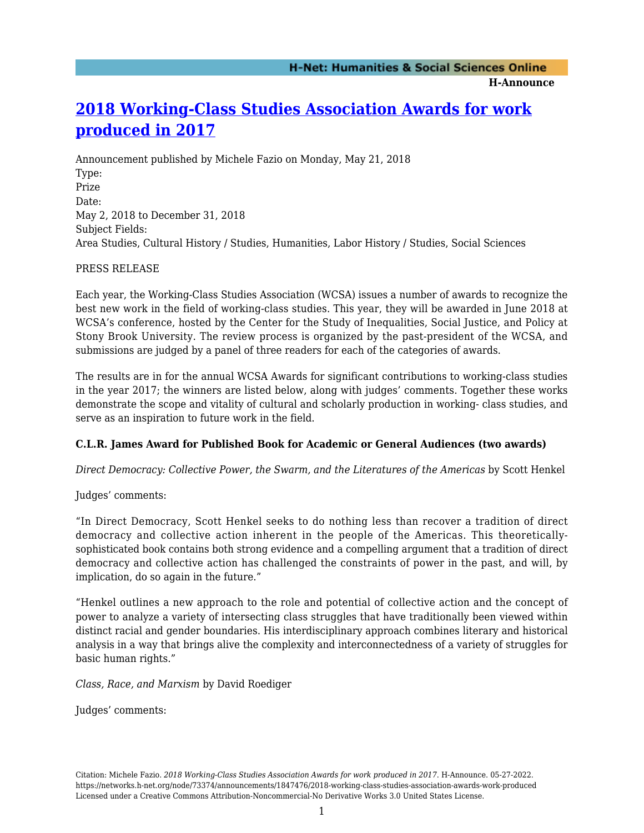**H-Announce** 

# **[2018 Working-Class Studies Association Awards for work](https://networks.h-net.org/node/73374/announcements/1847476/2018-working-class-studies-association-awards-work-produced) [produced in 2017](https://networks.h-net.org/node/73374/announcements/1847476/2018-working-class-studies-association-awards-work-produced)**

Announcement published by Michele Fazio on Monday, May 21, 2018 Type: Prize Date: May 2, 2018 to December 31, 2018 Subject Fields: Area Studies, Cultural History / Studies, Humanities, Labor History / Studies, Social Sciences

# PRESS RELEASE

Each year, the Working-Class Studies Association (WCSA) issues a number of awards to recognize the best new work in the field of working-class studies. This year, they will be awarded in June 2018 at WCSA's conference, hosted by the Center for the Study of Inequalities, Social Justice, and Policy at Stony Brook University. The review process is organized by the past-president of the WCSA, and submissions are judged by a panel of three readers for each of the categories of awards.

The results are in for the annual WCSA Awards for significant contributions to working-class studies in the year 2017; the winners are listed below, along with judges' comments. Together these works demonstrate the scope and vitality of cultural and scholarly production in working- class studies, and serve as an inspiration to future work in the field.

# **C.L.R. James Award for Published Book for Academic or General Audiences (two awards)**

*Direct Democracy: Collective Power, the Swarm, and the Literatures of the Americas* by Scott Henkel

Judges' comments:

"In Direct Democracy, Scott Henkel seeks to do nothing less than recover a tradition of direct democracy and collective action inherent in the people of the Americas. This theoreticallysophisticated book contains both strong evidence and a compelling argument that a tradition of direct democracy and collective action has challenged the constraints of power in the past, and will, by implication, do so again in the future."

"Henkel outlines a new approach to the role and potential of collective action and the concept of power to analyze a variety of intersecting class struggles that have traditionally been viewed within distinct racial and gender boundaries. His interdisciplinary approach combines literary and historical analysis in a way that brings alive the complexity and interconnectedness of a variety of struggles for basic human rights."

*Class, Race, and Marxism* by David Roediger

Judges' comments: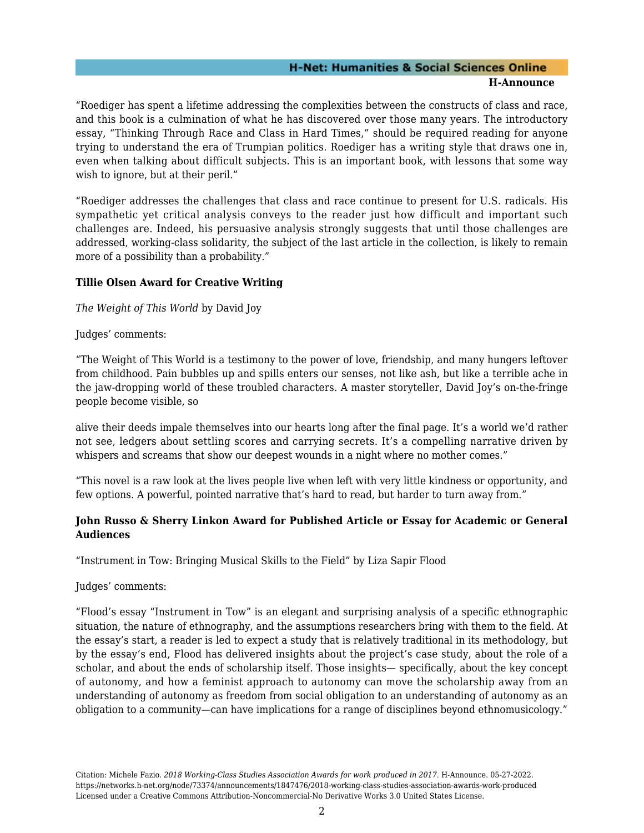#### **H-Net: Humanities & Social Sciences Online H-Announce**

"Roediger has spent a lifetime addressing the complexities between the constructs of class and race, and this book is a culmination of what he has discovered over those many years. The introductory essay, "Thinking Through Race and Class in Hard Times," should be required reading for anyone trying to understand the era of Trumpian politics. Roediger has a writing style that draws one in, even when talking about difficult subjects. This is an important book, with lessons that some way wish to ignore, but at their peril."

"Roediger addresses the challenges that class and race continue to present for U.S. radicals. His sympathetic yet critical analysis conveys to the reader just how difficult and important such challenges are. Indeed, his persuasive analysis strongly suggests that until those challenges are addressed, working-class solidarity, the subject of the last article in the collection, is likely to remain more of a possibility than a probability."

## **Tillie Olsen Award for Creative Writing**

*The Weight of This World* by David Joy

Judges' comments:

"The Weight of This World is a testimony to the power of love, friendship, and many hungers leftover from childhood. Pain bubbles up and spills enters our senses, not like ash, but like a terrible ache in the jaw-dropping world of these troubled characters. A master storyteller, David Joy's on-the-fringe people become visible, so

alive their deeds impale themselves into our hearts long after the final page. It's a world we'd rather not see, ledgers about settling scores and carrying secrets. It's a compelling narrative driven by whispers and screams that show our deepest wounds in a night where no mother comes."

"This novel is a raw look at the lives people live when left with very little kindness or opportunity, and few options. A powerful, pointed narrative that's hard to read, but harder to turn away from."

# **John Russo & Sherry Linkon Award for Published Article or Essay for Academic or General Audiences**

"Instrument in Tow: Bringing Musical Skills to the Field" by Liza Sapir Flood

Judges' comments:

"Flood's essay "Instrument in Tow" is an elegant and surprising analysis of a specific ethnographic situation, the nature of ethnography, and the assumptions researchers bring with them to the field. At the essay's start, a reader is led to expect a study that is relatively traditional in its methodology, but by the essay's end, Flood has delivered insights about the project's case study, about the role of a scholar, and about the ends of scholarship itself. Those insights— specifically, about the key concept of autonomy, and how a feminist approach to autonomy can move the scholarship away from an understanding of autonomy as freedom from social obligation to an understanding of autonomy as an obligation to a community—can have implications for a range of disciplines beyond ethnomusicology."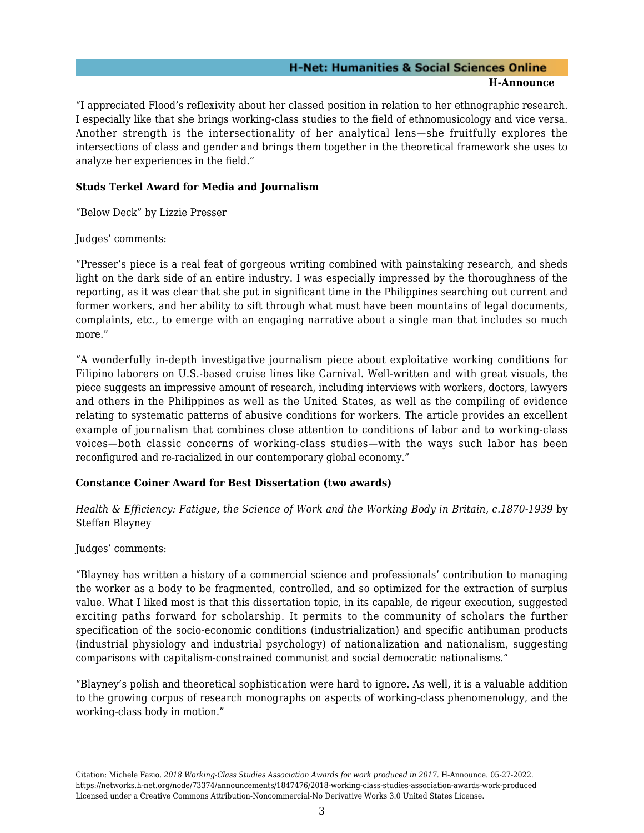#### **H-Net: Humanities & Social Sciences Online H-Announce**

"I appreciated Flood's reflexivity about her classed position in relation to her ethnographic research. I especially like that she brings working-class studies to the field of ethnomusicology and vice versa. Another strength is the intersectionality of her analytical lens—she fruitfully explores the intersections of class and gender and brings them together in the theoretical framework she uses to analyze her experiences in the field."

## **Studs Terkel Award for Media and Journalism**

"Below Deck" by Lizzie Presser

Judges' comments:

"Presser's piece is a real feat of gorgeous writing combined with painstaking research, and sheds light on the dark side of an entire industry. I was especially impressed by the thoroughness of the reporting, as it was clear that she put in significant time in the Philippines searching out current and former workers, and her ability to sift through what must have been mountains of legal documents, complaints, etc., to emerge with an engaging narrative about a single man that includes so much more."

"A wonderfully in-depth investigative journalism piece about exploitative working conditions for Filipino laborers on U.S.-based cruise lines like Carnival. Well-written and with great visuals, the piece suggests an impressive amount of research, including interviews with workers, doctors, lawyers and others in the Philippines as well as the United States, as well as the compiling of evidence relating to systematic patterns of abusive conditions for workers. The article provides an excellent example of journalism that combines close attention to conditions of labor and to working-class voices—both classic concerns of working-class studies—with the ways such labor has been reconfigured and re-racialized in our contemporary global economy."

## **Constance Coiner Award for Best Dissertation (two awards)**

*Health & Efficiency: Fatigue, the Science of Work and the Working Body in Britain, c.1870-1939* by Steffan Blayney

Judges' comments:

"Blayney has written a history of a commercial science and professionals' contribution to managing the worker as a body to be fragmented, controlled, and so optimized for the extraction of surplus value. What I liked most is that this dissertation topic, in its capable, de rigeur execution, suggested exciting paths forward for scholarship. It permits to the community of scholars the further specification of the socio-economic conditions (industrialization) and specific antihuman products (industrial physiology and industrial psychology) of nationalization and nationalism, suggesting comparisons with capitalism-constrained communist and social democratic nationalisms."

"Blayney's polish and theoretical sophistication were hard to ignore. As well, it is a valuable addition to the growing corpus of research monographs on aspects of working-class phenomenology, and the working-class body in motion."

Citation: Michele Fazio. *2018 Working-Class Studies Association Awards for work produced in 2017*. H-Announce. 05-27-2022. https://networks.h-net.org/node/73374/announcements/1847476/2018-working-class-studies-association-awards-work-produced Licensed under a Creative Commons Attribution-Noncommercial-No Derivative Works 3.0 United States License.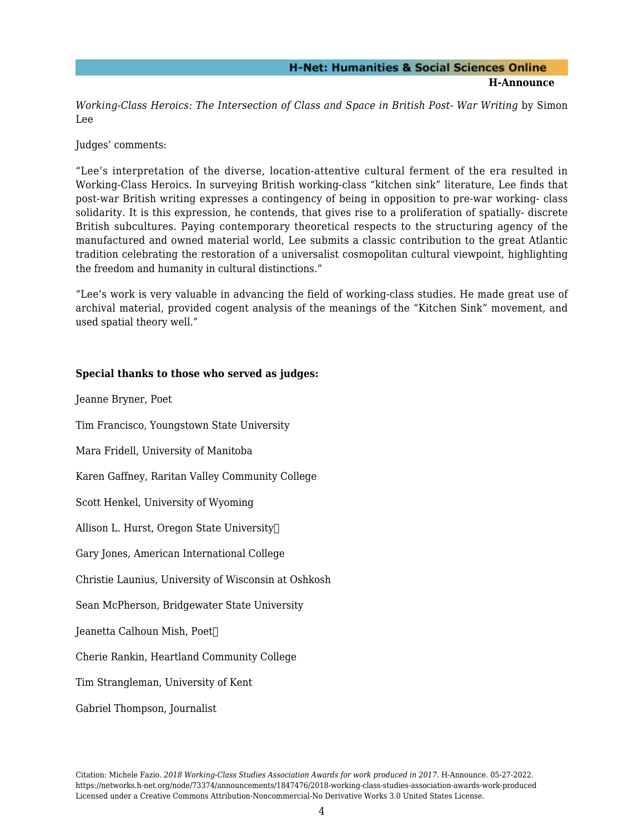*Working-Class Heroics: The Intersection of Class and Space in British Post- War Writing* by Simon Lee

Judges' comments:

"Lee's interpretation of the diverse, location-attentive cultural ferment of the era resulted in Working-Class Heroics. In surveying British working-class "kitchen sink" literature, Lee finds that post-war British writing expresses a contingency of being in opposition to pre-war working- class solidarity. It is this expression, he contends, that gives rise to a proliferation of spatially- discrete British subcultures. Paying contemporary theoretical respects to the structuring agency of the manufactured and owned material world, Lee submits a classic contribution to the great Atlantic tradition celebrating the restoration of a universalist cosmopolitan cultural viewpoint, highlighting the freedom and humanity in cultural distinctions."

"Lee's work is very valuable in advancing the field of working-class studies. He made great use of archival material, provided cogent analysis of the meanings of the "Kitchen Sink" movement, and used spatial theory well."

## **Special thanks to those who served as judges:**

Jeanne Bryner, Poet

Tim Francisco, Youngstown State University

Mara Fridell, University of Manitoba

Karen Gaffney, Raritan Valley Community College

Scott Henkel, University of Wyoming

Allison L. Hurst, Oregon State University

Gary Jones, American International College

Christie Launius, University of Wisconsin at Oshkosh

Sean McPherson, Bridgewater State University

Jeanetta Calhoun Mish, Poet

Cherie Rankin, Heartland Community College

Tim Strangleman, University of Kent

#### Gabriel Thompson, Journalist